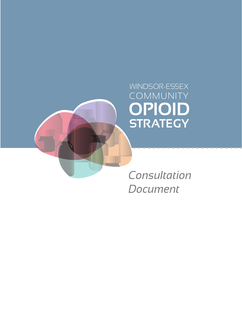

*Consultation Document*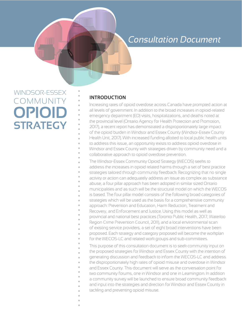## *Consultation Document*

# WINDSOR-ESSEX COMMUNITY **OPIOID STRATEGY**

### **INTRODUCTION**

Increasing rates of opioid overdose across Canada have prompted action at all levels of government. In addition to the broad increases in opioid-related emergency department (ED) visits, hospitalizations, and deaths noted at the provincial level (Ontario Agency for Health Protection and Promotion, 2017), a recent report has demonstrated a disproportionately large impact of the opioid burden in Windsor and Essex County (Windsor-Essex County Health Unit, 2017). With increased funding allotted to local public health units to address this issue, an opportunity exists to address opioid overdose in Windsor and Essex County with strategies driven by community need and a collaborative approach to opioid overdose prevention.

The Windsor-Essex Community Opioid Strategy (WECOS) seeks to address the increases in opioid related harms through a set of best practice strategies tailored through community feedback. Recognizing that no single activity or action can adequately address an issue as complex as substance abuse, a four pillar approach has been adopted in similar sized Ontario municipalities and as such will be the structural model on which the WECOS is based. The four pillar model consists of the following broad categories of strategies which will be used as the basis for a comprehensive community approach: Prevention and Education, Harm Reduction, Treatment and Recovery, and Enforcement and Justice. Using this model as well as provincial and national best practices (Toronto Public Health, 2017; Waterloo Region Crime Prevention Council, 2011), and a local environmental scan of existing service providers, a set of eight broad interventions have been proposed. Each strategy and category proposed will become the workplan for the WECOS-LC and related work groups and sub-committees. This purpose of this consultation document is to seek community input on the proposed strategies for Windsor and Essex County with the intention of generating discussion and feedback to inform the WECOS-LC and address the disproportionately high rates of opioid misuse and overdose in Windsor and Essex County. This document will serve as the conversation point for two community forums, one in Windsor and one in Leamington. In addition a community survey will be launched to ensure broad community feedback and input into the strategies and direction for Windsor and Essex County in tackling and preventing opioid misuse.

- 
-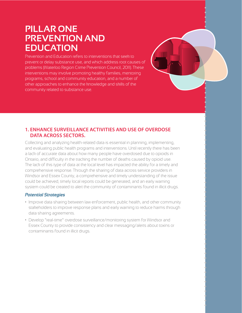## **PILLAR ONE PREVENTION AND EDUCATION**

Prevention and Education refers to interventions that seek to prevent or delay substance use, and which address root causes of problems (Waterloo Region Crime Prevention Council, 2011). These interventions may involve promoting healthy families, mentoring programs, school and community education, and a number of other approaches to enhance the knowledge and skills of the community related to substance use.

### **1. ENHANCE SURVEILLANCE ACTIVITIES AND USE OF OVERDOSE DATA ACROSS SECTORS.**

Collecting and analyzing health-related data is essential in planning, implementing, and evaluating public health programs and interventions. Until recently there has been a lack of accurate data about how many people have overdosed due to opioids in Ontario, and difficulty in the tracking the number of deaths caused by opioid use. The lack of this type of data at the local level has impacted the ability for a timely and comprehensive response. Through the sharing of data across service providers in Windsor and Essex County, a comprehensive and timely understanding of the issue could be achieved, timely local reports could be generated, and an early warning system could be created to alert the community of contaminants found in illicit drugs.

- Improve data sharing between law enforcement, public health, and other community stakeholders to improve response plans and early warning to reduce harms through data sharing agreements.
- Develop "real-time" overdose surveillance/monitoring system for Windsor and Essex County to provide consistency and clear messaging/alerts about toxins or contaminants found in illicit drugs.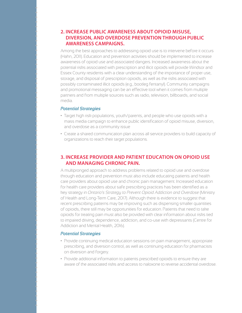### **2. INCREASE PUBLIC AWARENESS ABOUT OPIOID MISUSE, DIVERSION, AND OVERDOSE PREVENTION THROUGH PUBLIC AWARENESS CAMPAIGNS.**

Among the best approaches to addressing opioid use is to intervene before it occurs (Hahn, 2011). Education and prevention activities should be implemented to increase awareness of opioid use and associated dangers. Increased awareness about the potential risks associated with prescription and illicit opioids will provide Windsor and Essex County residents with a clear understanding of the importance of proper use, storage, and disposal of prescription opioids, as well as the risks associated with possibly contaminated illicit opioids (e.g., bootleg fentanyl). Community campaigns and promotional messaging can be an effective tool when it comes from multiple partners and from multiple sources such as radio, television, billboards, and social media.

#### *Potential Strategies*

- Target high risk populations, youth/parents, and people who use opioids with a mass media campaign to enhance public identification of opioid misuse, diversion, and overdose as a community issue
- Create a shared communication plan across all service providers to build capacity of organizations to reach their target populations.

#### **3. INCREASE PROVIDER AND PATIENT EDUCATION ON OPIOID USE AND MANAGING CHRONIC PAIN.**

A multipronged approach to address problems related to opioid use and overdose through education and prevention must also include educating patients and health care providers about opioid use and chronic pain management. Increased education for health care providers about safe prescribing practices has been identified as a key strategy in *Ontario's Strategy to Prevent Opioid Addiction and Overdose* (Ministry of Health and Long-Term Care, 2017). Although there is evidence to suggest that recent prescribing patterns may be improving such as dispensing smaller quantities of opioids, there still may be opportunities for education. Patients that need to take opioids for treating pain must also be provided with clear information about risks tied to impaired driving, dependence, addiction, and co-use with depressants (Centre for Addiction and Mental Health, 2016).

- Provide continuing medical education sessions on pain management, appropriate prescribing, and diversion control, as well as continuing education for pharmacists on diversion and forgery.
- Provide additional information to patients prescribed opioids to ensure they are aware of the associated risks and access to naloxone to reverse accidental overdose.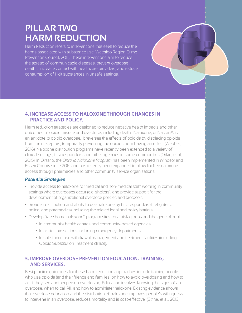## **PILLAR TWO HARM REDUCTION**

Harm Reduction refers to interventions that seek to reduce the harms associated with substance use (Waterloo Region Crime Prevention Council, 2011). These interventions aim to reduce the spread of communicable diseases, prevent overdose deaths, increase contact with healthcare providers, and reduce consumption of illicit substances in unsafe settings.

### **4. INCREASE ACCESS TO NALOXONE THROUGH CHANGES IN PRACTICE AND POLICY.**

Harm reduction strategies are designed to reduce negative health impacts and other outcomes of opioid misuse and overdose, including death. Naloxone, or Narcan®, is an antidote to opioid overdose. It reverses the effects of opioids by displacing opioids from their receptors, temporarily preventing the opioids from having an effect (Webber, 2016). Naloxone distribution programs have recently been extended to a variety of clinical settings, first responders, and other agencies in some communities (Orkin, et al., 2015). In Ontario, the *Ontario Naloxone Program* has been implemented in Windsor and Essex County since 2014 and has recently been expanded to allow for free naloxone access through pharmacies and other community service organizations.

#### *Potential Strategies*

- Provide access to naloxone for medical and non-medical staff working in community settings where overdoses occur (e.g. shelters), and provide support for the development of organizational overdose policies and protocols.
- Broaden distribution and ability to use naloxone by first responders (firefighters, police, and paramedics) including the related legal and policy barriers.
- Develop "take home naloxone" program sites for at-risk groups and the general public.
	- In community health centres and community-based agencies.
	- In acute care settings including emergency departments.
	- In substance use withdrawal management and treatment facilities (including Opioid Substitution Treatment clinics).

### **5. IMPROVE OVERDOSE PREVENTION EDUCATION, TRAINING, AND SERVICES.**

Best practice guidelines for these harm reduction approaches include training people who use opioids (and their friends and families) on how to avoid overdosing and how to act if they see another person overdosing. Education involves knowing the signs of an overdose, when to call 911, and how to administer naloxone. Existing evidence shows that overdose education and the distribution of naloxone improves people's willingness to intervene in an overdose, reduces mortality and is cost-effective (Strike, et al., 2013).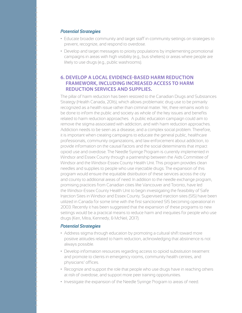#### *Potential Strategies*

- Educate broader community and target staff in community settings on strategies to prevent, recognize, and respond to overdose.
- Develop and target messages to priority populations by implementing promotional campaigns in areas with high visibility (e.g., bus shelters) or areas where people are likely to use drugs (e.g., public washrooms).

### **6. DEVELOP A LOCAL EVIDENCE-BASED HARM REDUCTION FRAMEWORK, INCLUDING INCREASED ACCESS TO HARM REDUCTION SERVICES AND SUPPLIES.**

The pillar of harm reduction has been restored to the Canadian Drugs and Substances Strategy (Health Canada, 2016), which allows problematic drug use to be primarily recognized as a health issue rather than criminal matter. Yet, there remains work to be done to inform the public and society as whole of the key issues and benefits related to harm reduction approaches. A public education campaign could aim to remove the stigma associated with addiction, and with harm reduction approaches. Addiction needs to be seen as a disease, and a complex social problem. Therefore, it is important when creating campaigns to educate the general public, healthcare professionals, community organizations, and law enforcement about addiction, to provide information on the causal factors and the social determinants that impact opioid use and overdose. The Needle Syringe Program is currently implemented in Windsor and Essex County through a partnership between the Aids Committee of Windsor and the Windsor-Essex County Health Unit. This program provides clean needles and supplies to people who use injectable drugs. The expansion of this program would ensure the equitable distribution of these services across the city and county to additional areas of need. In addition to the needle exchange program, promising practices from Canadian cities like Vancouver and Toronto, have led the Windsor-Essex County Health Unit to begin investigating the feasibility of Safe Injection Sites in Windsor and Essex County. Supervised injection sites (SIS) have been utilized in Canada for some time with the first sanctioned SIS becoming operational in 2003. Recently it has been suggested that the expansion of these programs to new settings would be a practical means to reduce harm and inequities for people who use drugs (Kerr, Mitra, Kennedy, & McNeil, 2017).

- Address stigma through education by promoting a cultural shift toward more positive attitudes related to harm reduction, acknowledging that abstinence is not always possible.
- Develop information resources regarding access to opioid substitution treatment and promote to clients in emergency rooms, community health centres, and physicians' offices.
- Recognize and support the role that people who use drugs have in reaching others at risk of overdose, and support more peer training opportunities.
- Investigate the expansion of the Needle Syringe Program to areas of need.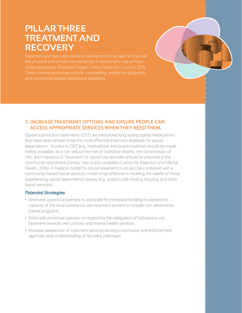## **PILLAR THREE TREATMENT AND RECOVERY**

the physical and emotional well-being of people who use or have

### **7. INCREASE TREATMENT OPTIONS AND ENSURE PEOPLE CAN ACCESS APPROPRIATE SERVICES WHEN THEY NEED THEM.**

Opioid substitution treatments (OST) are prescribed long-acting opioid medications that have been shown to be the most effective treatment available for opioid dependency. Access to OST (e.g., methadone and buprenorphine) should be made widely available, as it can reduce the risk of overdose deaths, the transmission of HIV, and Hepatitus B. Treatment for opioid use disorder should be provided in the community and where primary care is also available (Centre for Addiction and Mental Health, 2016). A medical model for opioid treatment must also be combined with a community based social services model to be effective in meeting the needs of those experiencing opioid dependence issues (e.g., support with finding housing and other social services).

- Work with provincial partners to advocate for increased funding to expand the capacity of the local substance use treatment system to include non-abstinence based programs.
- Work with provincial partners on improving the integration of substance use treatment services with primary and mental health services.
- Increase awareness of treatment services among community and enforcement agencies and understanding of recovery pathways.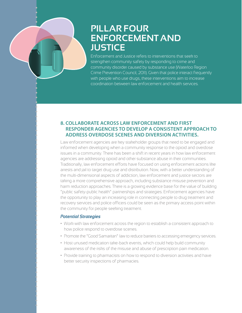## **PILLAR FOUR ENFORCEMENT AND JUSTICE**

Enforcement and Justice refers to interventions that seek to strengthen community safety by responding to crime and community disorder caused by substance use (Waterloo Region Crime Prevention Council, 2011). Given that police interact frequently with people who use drugs, these interventions aim to increase coordination between law enforcement and health services.

### **8. COLLABORATE ACROSS LAW ENFORCEMENT AND FIRST RESPONDER AGENCIES TO DEVELOP A CONSISTENT APPROACH TO ADDRESS OVERDOSE SCENES AND DIVERSION ACTIVITIES.**

Law enforcement agencies are key stakeholder groups that need to be engaged and informed when developing when a community response to the opioid and overdose issues in a community. There has been a shift in recent years in how law enforcement agencies are addressing opioid and other substance abuse in their communities. Traditionally, law enforcement efforts have focused on using enforcement actions like arrests and jail to target drug use and distribution. Now, with a better understanding of the multi-dimensional aspects of addiction, law enforcement and justice sectors are taking a more comprehensive approach, including substance misuse prevention and harm reduction approaches. There is a growing evidence base for the value of building "public safety-public health" partnerships and strategies. Enforcement agencies have the opportunity to play an increasing role in connecting people to drug treatment and recovery services and police officers could be seen as the primary access point within the community for people seeking treatment.

- Work with law enforcement across the region to establish a consistent approach to how police respond to overdose scenes.
- Promote the "Good Samaritan" law to reduce barriers to accessing emergency services.
- Host unused medication take-back events, which could help build community awareness of the risks of the misuse and abuse of prescription pain medication.
- Provide training to pharmacists on how to respond to diversion activities and have better security inspections of pharmacies.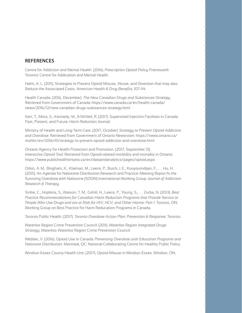#### **REFERENCES**

Centre for Addiction and Mental Health. (2016). *Prescription Opioid Policy Framework.*  Toronto: Centre for Addication and Mental Health.

Hahn, K. L. (2011). Strategies to Prevent Opioid Misuse, Abuse, and Diversion that may also Reduce the Associated Costs. *American Health & Drug Benefits,* 107-114.

Health Canada. (2016, December). *The New Canadian Drugs and Substances Strategy.*  Retrieved from Government of Canada: https://www.canada.ca/en/health-canada/ news/2016/12/new-canadian-drugs-substances-strategy.html

Kerr, T., Mitra, S., Kennedy, M., & McNeil, R. (2017). Supervised Injection Facilities in Canada: Past, Present, and Future. *Harm Reduction Journal.* 

Ministry of Health and Long-Term Care. (2017, October). *Strategy to Prevent Opioid Addiction and Overdose.* Retrieved from Government of Ontario Newsroom: https://news.ontario.ca/ mohltc/en/2016/10/strategy-to-prevent-opioid-addiction-and-overdose.html

Ontario Agency for Health Protection and Promotion. (2017, September 13). *Interactive Opioid Tool.* Retrieved from Opioid-related morbidity and mortality in Ontario: https://www.publichealthontario.ca/en/dataandanalytics/pages/opioid.aspx

Orkin, A. M., Bingham, K., Klaiman, M., Leece, P., Buick, J. E., Kouyoumdijan, F., . . . Hu, H. (2015). An Agenda for Naloxone Distribution Research and Practice: Meeting Report fo the Surviving Overdose with Naloxone (SOON) International Working Group. *Journal of Addiction Research & Therapy.* 

Strike, C., Hopkins, S., Watson, T. M., Gohill, H., Leece, P., Young, S., . . . Zurba, N. (2013). *Best Practice Recommendations for Canadian Harm Reduction Programs that Provide Service to People Who Use Drugs and are at Risk for HIV, HCV, and Other Harms: Part 1.* Toronto, ON: Working Group on Best Practice for Harm Reducation Programs in Canada.

Toronto Public Health. (2017). *Toronto Overdose Action Plan: Prevention & Response.* Toronto.

Waterloo Region Crime Prevention Council. (2011). *Waterloo Region Integrated Drugs Strategy.* Waterloo: Waterloo Region Crime Prevention Council.

Webber, V. (2016). Opioid Use in Canada: *Preventing Overdose with Education Programs and Naloxone Distribution.* Montreal, QC: National Collaborating Centre for Healthy Public Policy.

Windsor-Essex County Health Unit. (2017). *Opioid Misuse* in Windsor-Essex. Windsor, ON.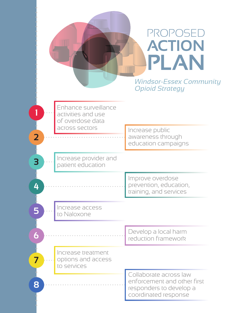|                                                                                                             | PROPOSED<br><b>ACTION</b><br>PLAN<br><b>Windsor-Essex Community</b><br><b>Opioid Strategy</b>            |
|-------------------------------------------------------------------------------------------------------------|----------------------------------------------------------------------------------------------------------|
| Enhance surveillance<br>activities and use<br>of overdose data<br>across sectors<br>$\overline{\mathbf{2}}$ | Increase public<br>awareness through<br>education campaigns                                              |
| Increase provider and<br>3<br>patient education                                                             |                                                                                                          |
| 4                                                                                                           | Improve overdose<br>prevention, education,<br>training, and services                                     |
| Increase access<br>5<br>to Naloxone                                                                         |                                                                                                          |
| 6                                                                                                           | Develop a local harm<br>reduction framework                                                              |
| Increase treatment<br>7<br>options and access<br>to services                                                |                                                                                                          |
| 8                                                                                                           | Collaborate across law<br>enforcement and other first<br>responders to develop a<br>coordinated response |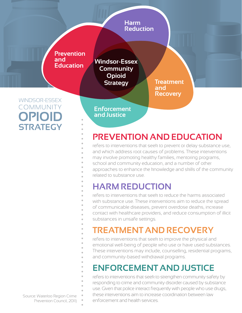

## **PREVENTION AND EDUCATION**

refers to interventions that seek to prevent or delay substance use, and which address root causes of problems. These interventions may involve promoting healthy families, mentoring programs, school and community education, and a number of other approaches to enhance the knowledge and skills of the community related to substance use.

## **HARM REDUCTION**

refers to interventions that seek to reduce the harms associated with substance use. These interventions aim to reduce the spread of communicable diseases, prevent overdose deaths, increase contact with healthcare providers, and reduce consumption of illicit substances in unsafe settings.

## **TREATMENT AND RECOVERY**

refers to interventions that seek to improve the physical and emotional well-being of people who use or have used substances. These interventions may include, counselling, residential programs, and community-based withdrawal programs.

## **ENFORCEMENT AND JUSTICE**

refers to interventions that seek to strengthen community safety by responding to crime and community disorder caused by substance use. Given that police interact frequently with people who use drugs, these interventions aim to increase coordination between law Source: Waterloo Region Crime Prevention Council, 2011) enforcement and health services.